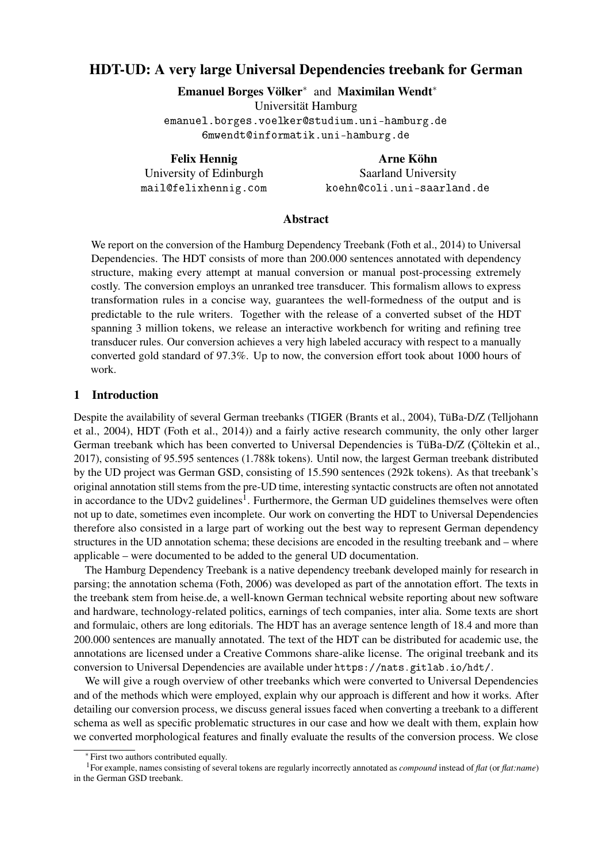# HDT-UD: A very large Universal Dependencies treebank for German

Emanuel Borges Völker<sup>∗</sup> and Maximilan Wendt<sup>∗</sup> Universität Hamburg emanuel.borges.voelker@studium.uni-hamburg.de 6mwendt@informatik.uni-hamburg.de

Felix Hennig University of Edinburgh mail@felixhennig.com

Arne Köhn Saarland University koehn@coli.uni-saarland.de

### Abstract

We report on the conversion of the Hamburg Dependency Treebank [\(Foth et al., 2014\)](#page-10-0) to Universal Dependencies. The HDT consists of more than 200.000 sentences annotated with dependency structure, making every attempt at manual conversion or manual post-processing extremely costly. The conversion employs an unranked tree transducer. This formalism allows to express transformation rules in a concise way, guarantees the well-formedness of the output and is predictable to the rule writers. Together with the release of a converted subset of the HDT spanning 3 million tokens, we release an interactive workbench for writing and refining tree transducer rules. Our conversion achieves a very high labeled accuracy with respect to a manually converted gold standard of 97.3%. Up to now, the conversion effort took about 1000 hours of work.

#### 1 Introduction

Despite the availability of several German treebanks (TIGER [\(Brants et al., 2004\)](#page-10-1), TüBa-D/Z [\(Telljohann](#page-11-0) [et al., 2004\)](#page-11-0), HDT [\(Foth et al., 2014\)](#page-10-0)) and a fairly active research community, the only other larger German treebank which has been converted to Universal Dependencies is TüBa-D/Z [\(Çöltekin et al.,](#page-10-2) [2017\)](#page-10-2), consisting of 95.595 sentences (1.788k tokens). Until now, the largest German treebank distributed by the UD project was German GSD, consisting of 15.590 sentences (292k tokens). As that treebank's original annotation still stems from the pre-UD time, interesting syntactic constructs are often not annotated in accordance to the UDv2 guidelines<sup>[1](#page-0-0)</sup>. Furthermore, the German UD guidelines themselves were often not up to date, sometimes even incomplete. Our work on converting the HDT to Universal Dependencies therefore also consisted in a large part of working out the best way to represent German dependency structures in the UD annotation schema; these decisions are encoded in the resulting treebank and – where applicable – were documented to be added to the general UD documentation.

The Hamburg Dependency Treebank is a native dependency treebank developed mainly for research in parsing; the annotation schema [\(Foth, 2006\)](#page-10-3) was developed as part of the annotation effort. The texts in the treebank stem from heise.de, a well-known German technical website reporting about new software and hardware, technology-related politics, earnings of tech companies, inter alia. Some texts are short and formulaic, others are long editorials. The HDT has an average sentence length of 18.4 and more than 200.000 sentences are manually annotated. The text of the HDT can be distributed for academic use, the annotations are licensed under a Creative Commons share-alike license. The original treebank and its conversion to Universal Dependencies are available under <https://nats.gitlab.io/hdt/>.

We will give a rough overview of other treebanks which were converted to Universal Dependencies and of the methods which were employed, explain why our approach is different and how it works. After detailing our conversion process, we discuss general issues faced when converting a treebank to a different schema as well as specific problematic structures in our case and how we dealt with them, explain how we converted morphological features and finally evaluate the results of the conversion process. We close

<span id="page-0-0"></span><sup>∗</sup> First two authors contributed equally.

<sup>1</sup>For example, names consisting of several tokens are regularly incorrectly annotated as *compound* instead of *flat* (or *flat:name*) in the German GSD treebank.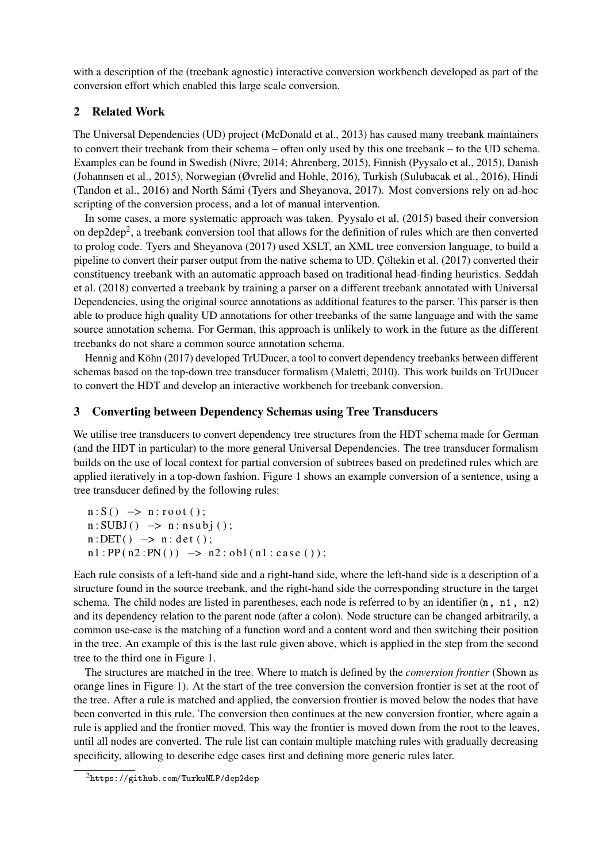with a description of the (treebank agnostic) interactive conversion workbench developed as part of the conversion effort which enabled this large scale conversion.

## 2 Related Work

The Universal Dependencies (UD) project [\(McDonald et al., 2013\)](#page-10-4) has caused many treebank maintainers to convert their treebank from their schema – often only used by this one treebank – to the UD schema. Examples can be found in Swedish [\(Nivre, 2014;](#page-10-5) [Ahrenberg, 2015\)](#page-10-6), Finnish [\(Pyysalo et al., 2015\)](#page-10-7), Danish [\(Johannsen et al., 2015\)](#page-10-8), Norwegian [\(Øvrelid and Hohle, 2016\)](#page-10-9), Turkish [\(Sulubacak et al., 2016\)](#page-11-1), Hindi [\(Tandon et al., 2016\)](#page-11-2) and North Sámi [\(Tyers and Sheyanova, 2017\)](#page-11-3). Most conversions rely on ad-hoc scripting of the conversion process, and a lot of manual intervention.

In some cases, a more systematic approach was taken. [Pyysalo et al. \(2015\)](#page-10-7) based their conversion on dep[2](#page-1-0)dep<sup>2</sup>, a treebank conversion tool that allows for the definition of rules which are then converted to prolog code. [Tyers and Sheyanova \(2017\)](#page-11-3) used XSLT, an XML tree conversion language, to build a pipeline to convert their parser output from the native schema to UD. [Çöltekin et al. \(2017\)](#page-10-2) converted their constituency treebank with an automatic approach based on traditional head-finding heuristics. [Seddah](#page-10-10) [et al. \(2018\)](#page-10-10) converted a treebank by training a parser on a different treebank annotated with Universal Dependencies, using the original source annotations as additional features to the parser. This parser is then able to produce high quality UD annotations for other treebanks of the same language and with the same source annotation schema. For German, this approach is unlikely to work in the future as the different treebanks do not share a common source annotation schema.

[Hennig and Köhn \(2017\)](#page-10-11) developed TrUDucer, a tool to convert dependency treebanks between different schemas based on the top-down tree transducer formalism [\(Maletti, 2010\)](#page-10-12). This work builds on TrUDucer to convert the HDT and develop an interactive workbench for treebank conversion.

# <span id="page-1-1"></span>3 Converting between Dependency Schemas using Tree Transducers

We utilise tree transducers to convert dependency tree structures from the HDT schema made for German (and the HDT in particular) to the more general Universal Dependencies. The tree transducer formalism builds on the use of local context for partial conversion of subtrees based on predefined rules which are applied iteratively in a top-down fashion. Figure [1](#page-2-0) shows an example conversion of a sentence, using a tree transducer defined by the following rules:

 $n: S() \rightarrow n: root()$ ;  $n: SUBJ() \rightarrow n: nsubj()$ ;  $n: DET() \rightarrow n: det()$ ;  $n1 : PP(n2 : PN()) \rightarrow n2 : obl(n1 : case())$ ;

Each rule consists of a left-hand side and a right-hand side, where the left-hand side is a description of a structure found in the source treebank, and the right-hand side the corresponding structure in the target schema. The child nodes are listed in parentheses, each node is referred to by an identifier  $(n, n1, n2)$ and its dependency relation to the parent node (after a colon). Node structure can be changed arbitrarily, a common use-case is the matching of a function word and a content word and then switching their position in the tree. An example of this is the last rule given above, which is applied in the step from the second tree to the third one in Figure [1.](#page-2-0)

The structures are matched in the tree. Where to match is defined by the *conversion frontier* (Shown as orange lines in Figure [1\)](#page-2-0). At the start of the tree conversion the conversion frontier is set at the root of the tree. After a rule is matched and applied, the conversion frontier is moved below the nodes that have been converted in this rule. The conversion then continues at the new conversion frontier, where again a rule is applied and the frontier moved. This way the frontier is moved down from the root to the leaves, until all nodes are converted. The rule list can contain multiple matching rules with gradually decreasing specificity, allowing to describe edge cases first and defining more generic rules later.

<span id="page-1-0"></span><sup>2</sup><https://github.com/TurkuNLP/dep2dep>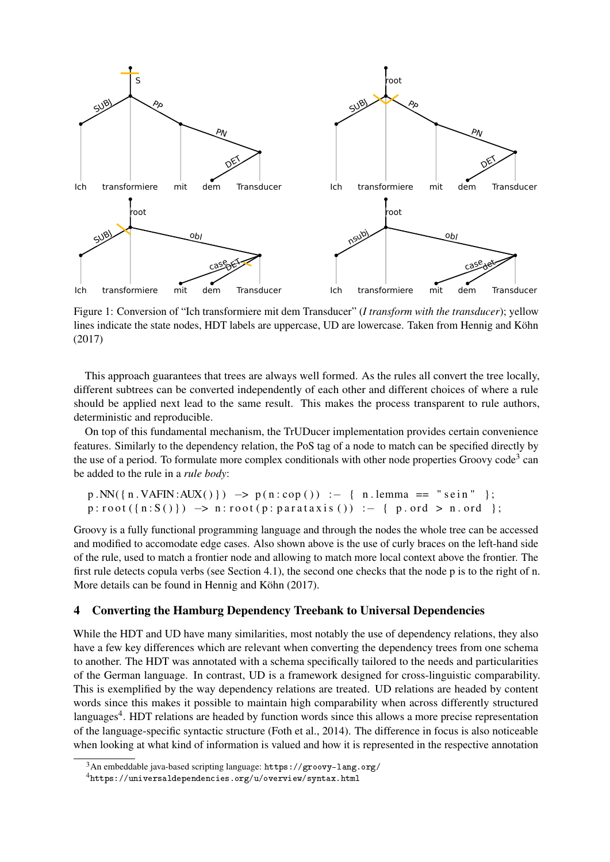<span id="page-2-0"></span>

Figure 1: Conversion of "Ich transformiere mit dem Transducer" (*I transform with the transducer*); yellow lines indicate the state nodes, HDT labels are uppercase, UD are lowercase. Taken from [Hennig and Köhn](#page-10-11) [\(2017\)](#page-10-11)

This approach guarantees that trees are always well formed. As the rules all convert the tree locally, different subtrees can be converted independently of each other and different choices of where a rule should be applied next lead to the same result. This makes the process transparent to rule authors, deterministic and reproducible.

On top of this fundamental mechanism, the TrUDucer implementation provides certain convenience features. Similarly to the dependency relation, the PoS tag of a node to match can be specified directly by the use of a period. To formulate more complex conditionals with other node properties Groovy code<sup>[3](#page-2-1)</sup> can be added to the rule in a *rule body*:

```
p.NN({n.VAFIN:AUX()}) \rightarrow p(n:cop()) :- { n. lemma == "sein" };
p:root({n:S()}) \rightarrow n:root(p:parataxis()) \leftarrow { p. ord > n. ord };
```
Groovy is a fully functional programming language and through the nodes the whole tree can be accessed and modified to accomodate edge cases. Also shown above is the use of curly braces on the left-hand side of the rule, used to match a frontier node and allowing to match more local context above the frontier. The first rule detects copula verbs (see Section [4.1\)](#page-3-0), the second one checks that the node p is to the right of n. More details can be found in [Hennig and Köhn \(2017\)](#page-10-11).

### 4 Converting the Hamburg Dependency Treebank to Universal Dependencies

While the HDT and UD have many similarities, most notably the use of dependency relations, they also have a few key differences which are relevant when converting the dependency trees from one schema to another. The HDT was annotated with a schema specifically tailored to the needs and particularities of the German language. In contrast, UD is a framework designed for cross-linguistic comparability. This is exemplified by the way dependency relations are treated. UD relations are headed by content words since this makes it possible to maintain high comparability when across differently structured languages<sup>[4](#page-2-2)</sup>. HDT relations are headed by function words since this allows a more precise representation of the language-specific syntactic structure [\(Foth et al., 2014\)](#page-10-0). The difference in focus is also noticeable when looking at what kind of information is valued and how it is represented in the respective annotation

<span id="page-2-1"></span> $3An$  embeddable java-based scripting language: <https://groovy-lang.org/>

<span id="page-2-2"></span><sup>4</sup><https://universaldependencies.org/u/overview/syntax.html>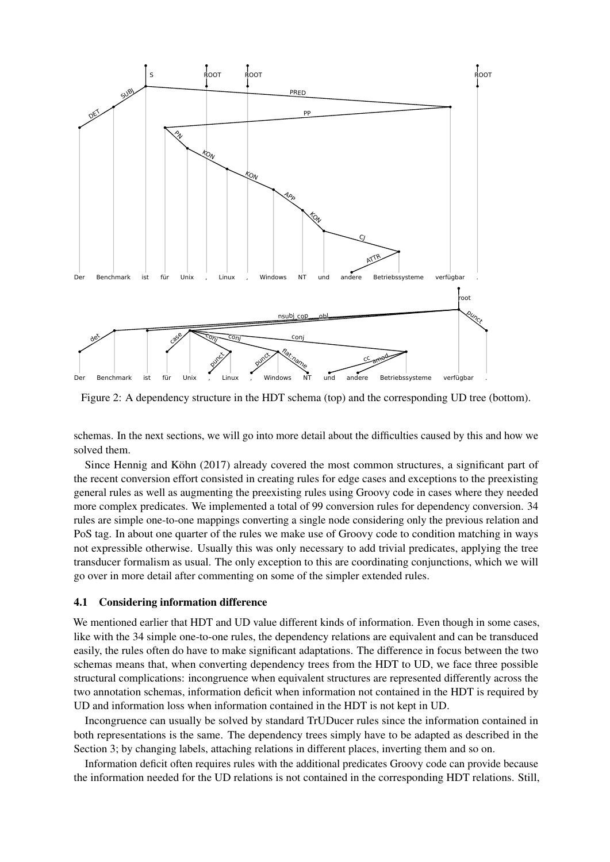<span id="page-3-1"></span>

Figure 2: A dependency structure in the HDT schema (top) and the corresponding UD tree (bottom).

schemas. In the next sections, we will go into more detail about the difficulties caused by this and how we solved them.

Since [Hennig and Köhn \(2017\)](#page-10-11) already covered the most common structures, a significant part of the recent conversion effort consisted in creating rules for edge cases and exceptions to the preexisting general rules as well as augmenting the preexisting rules using Groovy code in cases where they needed more complex predicates. We implemented a total of 99 conversion rules for dependency conversion. 34 rules are simple one-to-one mappings converting a single node considering only the previous relation and PoS tag. In about one quarter of the rules we make use of Groovy code to condition matching in ways not expressible otherwise. Usually this was only necessary to add trivial predicates, applying the tree transducer formalism as usual. The only exception to this are coordinating conjunctions, which we will go over in more detail after commenting on some of the simpler extended rules.

#### <span id="page-3-0"></span>4.1 Considering information difference

We mentioned earlier that HDT and UD value different kinds of information. Even though in some cases, like with the 34 simple one-to-one rules, the dependency relations are equivalent and can be transduced easily, the rules often do have to make significant adaptations. The difference in focus between the two schemas means that, when converting dependency trees from the HDT to UD, we face three possible structural complications: incongruence when equivalent structures are represented differently across the two annotation schemas, information deficit when information not contained in the HDT is required by UD and information loss when information contained in the HDT is not kept in UD.

Incongruence can usually be solved by standard TrUDucer rules since the information contained in both representations is the same. The dependency trees simply have to be adapted as described in the Section [3;](#page-1-1) by changing labels, attaching relations in different places, inverting them and so on.

Information deficit often requires rules with the additional predicates Groovy code can provide because the information needed for the UD relations is not contained in the corresponding HDT relations. Still,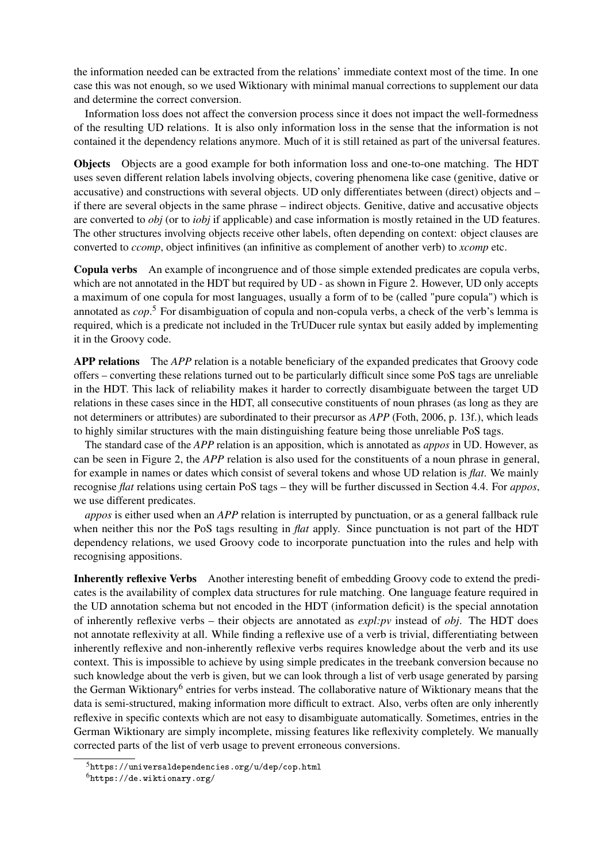the information needed can be extracted from the relations' immediate context most of the time. In one case this was not enough, so we used Wiktionary with minimal manual corrections to supplement our data and determine the correct conversion.

Information loss does not affect the conversion process since it does not impact the well-formedness of the resulting UD relations. It is also only information loss in the sense that the information is not contained it the dependency relations anymore. Much of it is still retained as part of the universal features.

Objects Objects are a good example for both information loss and one-to-one matching. The HDT uses seven different relation labels involving objects, covering phenomena like case (genitive, dative or accusative) and constructions with several objects. UD only differentiates between (direct) objects and – if there are several objects in the same phrase – indirect objects. Genitive, dative and accusative objects are converted to *obj* (or to *iobj* if applicable) and case information is mostly retained in the UD features. The other structures involving objects receive other labels, often depending on context: object clauses are converted to *ccomp*, object infinitives (an infinitive as complement of another verb) to *xcomp* etc.

Copula verbs An example of incongruence and of those simple extended predicates are copula verbs, which are not annotated in the HDT but required by UD - as shown in Figure [2.](#page-3-1) However, UD only accepts a maximum of one copula for most languages, usually a form of to be (called "pure copula") which is annotated as *cop*. [5](#page-4-0) For disambiguation of copula and non-copula verbs, a check of the verb's lemma is required, which is a predicate not included in the TrUDucer rule syntax but easily added by implementing it in the Groovy code.

APP relations The *APP* relation is a notable beneficiary of the expanded predicates that Groovy code offers – converting these relations turned out to be particularly difficult since some PoS tags are unreliable in the HDT. This lack of reliability makes it harder to correctly disambiguate between the target UD relations in these cases since in the HDT, all consecutive constituents of noun phrases (as long as they are not determiners or attributes) are subordinated to their precursor as *APP* [\(Foth, 2006,](#page-10-3) p. 13f.), which leads to highly similar structures with the main distinguishing feature being those unreliable PoS tags.

The standard case of the *APP* relation is an apposition, which is annotated as *appos* in UD. However, as can be seen in Figure [2,](#page-3-1) the *APP* relation is also used for the constituents of a noun phrase in general, for example in names or dates which consist of several tokens and whose UD relation is *flat*. We mainly recognise *flat* relations using certain PoS tags – they will be further discussed in Section [4.4.](#page-6-0) For *appos*, we use different predicates.

*appos* is either used when an *APP* relation is interrupted by punctuation, or as a general fallback rule when neither this nor the PoS tags resulting in *flat* apply. Since punctuation is not part of the HDT dependency relations, we used Groovy code to incorporate punctuation into the rules and help with recognising appositions.

Inherently reflexive Verbs Another interesting benefit of embedding Groovy code to extend the predicates is the availability of complex data structures for rule matching. One language feature required in the UD annotation schema but not encoded in the HDT (information deficit) is the special annotation of inherently reflexive verbs – their objects are annotated as *expl:pv* instead of *obj*. The HDT does not annotate reflexivity at all. While finding a reflexive use of a verb is trivial, differentiating between inherently reflexive and non-inherently reflexive verbs requires knowledge about the verb and its use context. This is impossible to achieve by using simple predicates in the treebank conversion because no such knowledge about the verb is given, but we can look through a list of verb usage generated by parsing the German Wiktionary<sup>[6](#page-4-1)</sup> entries for verbs instead. The collaborative nature of Wiktionary means that the data is semi-structured, making information more difficult to extract. Also, verbs often are only inherently reflexive in specific contexts which are not easy to disambiguate automatically. Sometimes, entries in the German Wiktionary are simply incomplete, missing features like reflexivity completely. We manually corrected parts of the list of verb usage to prevent erroneous conversions.

<span id="page-4-0"></span> $5$ <https://universaldependencies.org/u/dep/cop.html>

<span id="page-4-1"></span> $<sup>6</sup>$ <https://de.wiktionary.org/></sup>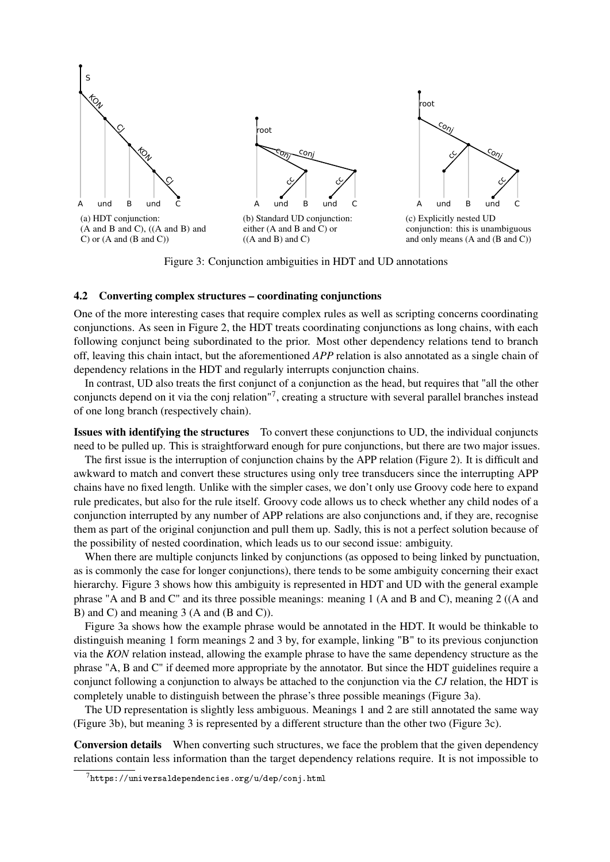<span id="page-5-1"></span>

Figure 3: Conjunction ambiguities in HDT and UD annotations

#### 4.2 Converting complex structures – coordinating conjunctions

One of the more interesting cases that require complex rules as well as scripting concerns coordinating conjunctions. As seen in Figure [2,](#page-3-1) the HDT treats coordinating conjunctions as long chains, with each following conjunct being subordinated to the prior. Most other dependency relations tend to branch off, leaving this chain intact, but the aforementioned *APP* relation is also annotated as a single chain of dependency relations in the HDT and regularly interrupts conjunction chains.

In contrast, UD also treats the first conjunct of a conjunction as the head, but requires that "all the other conjuncts depend on it via the conj relation"[7](#page-5-0) , creating a structure with several parallel branches instead of one long branch (respectively chain).

Issues with identifying the structures To convert these conjunctions to UD, the individual conjuncts need to be pulled up. This is straightforward enough for pure conjunctions, but there are two major issues.

The first issue is the interruption of conjunction chains by the APP relation (Figure [2\)](#page-3-1). It is difficult and awkward to match and convert these structures using only tree transducers since the interrupting APP chains have no fixed length. Unlike with the simpler cases, we don't only use Groovy code here to expand rule predicates, but also for the rule itself. Groovy code allows us to check whether any child nodes of a conjunction interrupted by any number of APP relations are also conjunctions and, if they are, recognise them as part of the original conjunction and pull them up. Sadly, this is not a perfect solution because of the possibility of nested coordination, which leads us to our second issue: ambiguity.

When there are multiple conjuncts linked by conjunctions (as opposed to being linked by punctuation, as is commonly the case for longer conjunctions), there tends to be some ambiguity concerning their exact hierarchy. Figure [3](#page-5-1) shows how this ambiguity is represented in HDT and UD with the general example phrase "A and B and C" and its three possible meanings: meaning 1 (A and B and C), meaning 2 ((A and B) and C) and meaning 3 (A and (B and C)).

Figure [3a](#page-5-1) shows how the example phrase would be annotated in the HDT. It would be thinkable to distinguish meaning 1 form meanings 2 and 3 by, for example, linking "B" to its previous conjunction via the *KON* relation instead, allowing the example phrase to have the same dependency structure as the phrase "A, B and C" if deemed more appropriate by the annotator. But since the HDT guidelines require a conjunct following a conjunction to always be attached to the conjunction via the *CJ* relation, the HDT is completely unable to distinguish between the phrase's three possible meanings (Figure [3a\)](#page-5-1).

The UD representation is slightly less ambiguous. Meanings 1 and 2 are still annotated the same way (Figure [3b\)](#page-5-1), but meaning 3 is represented by a different structure than the other two (Figure [3c\)](#page-5-1).

Conversion details When converting such structures, we face the problem that the given dependency relations contain less information than the target dependency relations require. It is not impossible to

<span id="page-5-0"></span> $7$ <https://universaldependencies.org/u/dep/conj.html>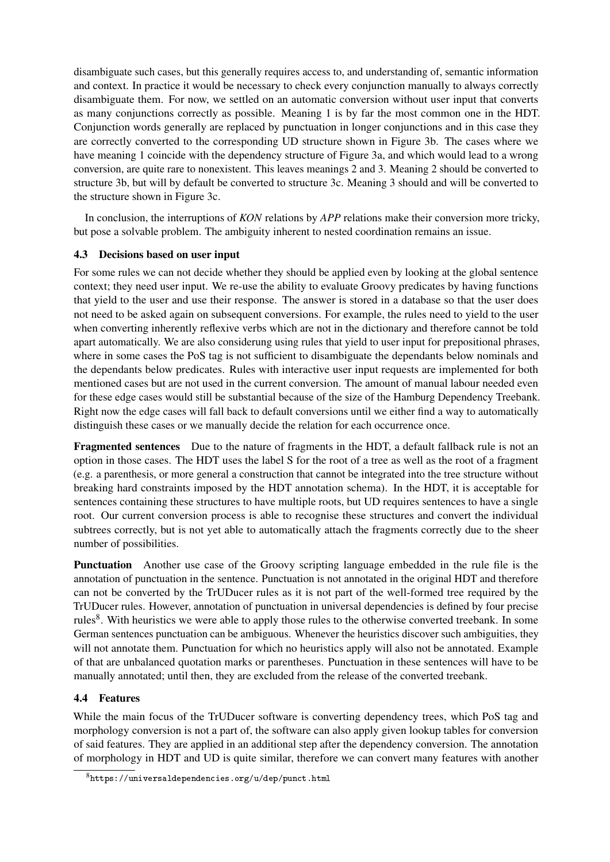disambiguate such cases, but this generally requires access to, and understanding of, semantic information and context. In practice it would be necessary to check every conjunction manually to always correctly disambiguate them. For now, we settled on an automatic conversion without user input that converts as many conjunctions correctly as possible. Meaning 1 is by far the most common one in the HDT. Conjunction words generally are replaced by punctuation in longer conjunctions and in this case they are correctly converted to the corresponding UD structure shown in Figure [3b.](#page-5-1) The cases where we have meaning 1 coincide with the dependency structure of Figure [3a,](#page-5-1) and which would lead to a wrong conversion, are quite rare to nonexistent. This leaves meanings 2 and 3. Meaning 2 should be converted to structure [3b,](#page-5-1) but will by default be converted to structure [3c.](#page-5-1) Meaning 3 should and will be converted to the structure shown in Figure [3c.](#page-5-1)

In conclusion, the interruptions of *KON* relations by *APP* relations make their conversion more tricky, but pose a solvable problem. The ambiguity inherent to nested coordination remains an issue.

### 4.3 Decisions based on user input

For some rules we can not decide whether they should be applied even by looking at the global sentence context; they need user input. We re-use the ability to evaluate Groovy predicates by having functions that yield to the user and use their response. The answer is stored in a database so that the user does not need to be asked again on subsequent conversions. For example, the rules need to yield to the user when converting inherently reflexive verbs which are not in the dictionary and therefore cannot be told apart automatically. We are also considerung using rules that yield to user input for prepositional phrases, where in some cases the PoS tag is not sufficient to disambiguate the dependants below nominals and the dependants below predicates. Rules with interactive user input requests are implemented for both mentioned cases but are not used in the current conversion. The amount of manual labour needed even for these edge cases would still be substantial because of the size of the Hamburg Dependency Treebank. Right now the edge cases will fall back to default conversions until we either find a way to automatically distinguish these cases or we manually decide the relation for each occurrence once.

Fragmented sentences Due to the nature of fragments in the HDT, a default fallback rule is not an option in those cases. The HDT uses the label S for the root of a tree as well as the root of a fragment (e.g. a parenthesis, or more general a construction that cannot be integrated into the tree structure without breaking hard constraints imposed by the HDT annotation schema). In the HDT, it is acceptable for sentences containing these structures to have multiple roots, but UD requires sentences to have a single root. Our current conversion process is able to recognise these structures and convert the individual subtrees correctly, but is not yet able to automatically attach the fragments correctly due to the sheer number of possibilities.

Punctuation Another use case of the Groovy scripting language embedded in the rule file is the annotation of punctuation in the sentence. Punctuation is not annotated in the original HDT and therefore can not be converted by the TrUDucer rules as it is not part of the well-formed tree required by the TrUDucer rules. However, annotation of punctuation in universal dependencies is defined by four precise rules<sup>[8](#page-6-1)</sup>. With heuristics we were able to apply those rules to the otherwise converted treebank. In some German sentences punctuation can be ambiguous. Whenever the heuristics discover such ambiguities, they will not annotate them. Punctuation for which no heuristics apply will also not be annotated. Example of that are unbalanced quotation marks or parentheses. Punctuation in these sentences will have to be manually annotated; until then, they are excluded from the release of the converted treebank.

# <span id="page-6-0"></span>4.4 Features

While the main focus of the TrUDucer software is converting dependency trees, which PoS tag and morphology conversion is not a part of, the software can also apply given lookup tables for conversion of said features. They are applied in an additional step after the dependency conversion. The annotation of morphology in HDT and UD is quite similar, therefore we can convert many features with another

<span id="page-6-1"></span> $8$ <https://universaldependencies.org/u/dep/punct.html>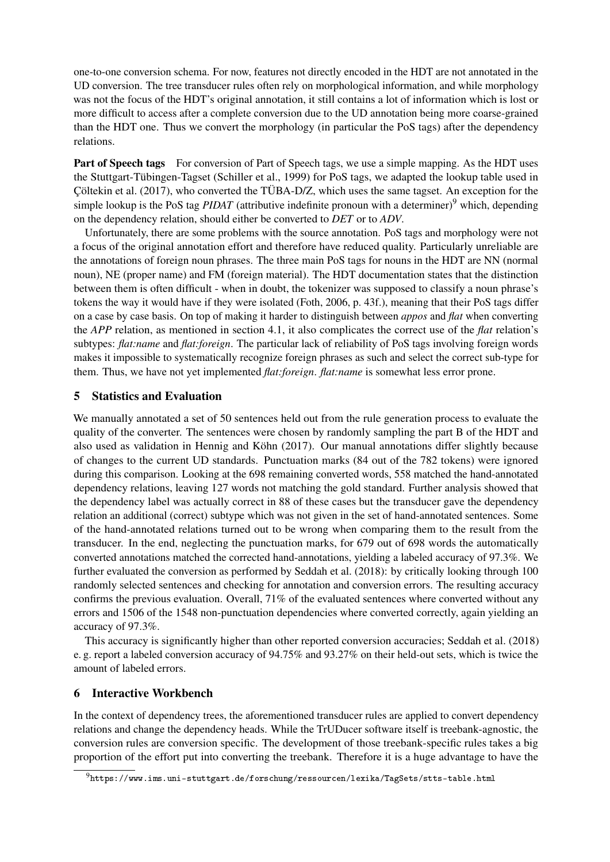one-to-one conversion schema. For now, features not directly encoded in the HDT are not annotated in the UD conversion. The tree transducer rules often rely on morphological information, and while morphology was not the focus of the HDT's original annotation, it still contains a lot of information which is lost or more difficult to access after a complete conversion due to the UD annotation being more coarse-grained than the HDT one. Thus we convert the morphology (in particular the PoS tags) after the dependency relations.

Part of Speech tags For conversion of Part of Speech tags, we use a simple mapping. As the HDT uses the Stuttgart-Tübingen-Tagset [\(Schiller et al., 1999\)](#page-10-13) for PoS tags, we adapted the lookup table used in [Çöltekin et al. \(2017\)](#page-10-2), who converted the TÜBA-D/Z, which uses the same tagset. An exception for the simple lookup is the PoS tag *PIDAT* (attributive indefinite pronoun with a determiner)<sup>[9](#page-7-0)</sup> which, depending on the dependency relation, should either be converted to *DET* or to *ADV*.

Unfortunately, there are some problems with the source annotation. PoS tags and morphology were not a focus of the original annotation effort and therefore have reduced quality. Particularly unreliable are the annotations of foreign noun phrases. The three main PoS tags for nouns in the HDT are NN (normal noun), NE (proper name) and FM (foreign material). The HDT documentation states that the distinction between them is often difficult - when in doubt, the tokenizer was supposed to classify a noun phrase's tokens the way it would have if they were isolated [\(Foth, 2006,](#page-10-3) p. 43f.), meaning that their PoS tags differ on a case by case basis. On top of making it harder to distinguish between *appos* and *flat* when converting the *APP* relation, as mentioned in section [4.1,](#page-3-0) it also complicates the correct use of the *flat* relation's subtypes: *flat:name* and *flat:foreign*. The particular lack of reliability of PoS tags involving foreign words makes it impossible to systematically recognize foreign phrases as such and select the correct sub-type for them. Thus, we have not yet implemented *flat:foreign*. *flat:name* is somewhat less error prone.

# 5 Statistics and Evaluation

We manually annotated a set of 50 sentences held out from the rule generation process to evaluate the quality of the converter. The sentences were chosen by randomly sampling the part B of the HDT and also used as validation in [Hennig and Köhn \(2017\)](#page-10-11). Our manual annotations differ slightly because of changes to the current UD standards. Punctuation marks (84 out of the 782 tokens) were ignored during this comparison. Looking at the 698 remaining converted words, 558 matched the hand-annotated dependency relations, leaving 127 words not matching the gold standard. Further analysis showed that the dependency label was actually correct in 88 of these cases but the transducer gave the dependency relation an additional (correct) subtype which was not given in the set of hand-annotated sentences. Some of the hand-annotated relations turned out to be wrong when comparing them to the result from the transducer. In the end, neglecting the punctuation marks, for 679 out of 698 words the automatically converted annotations matched the corrected hand-annotations, yielding a labeled accuracy of 97.3%. We further evaluated the conversion as performed by [Seddah et al. \(2018\)](#page-10-10): by critically looking through 100 randomly selected sentences and checking for annotation and conversion errors. The resulting accuracy confirms the previous evaluation. Overall, 71% of the evaluated sentences where converted without any errors and 1506 of the 1548 non-punctuation dependencies where converted correctly, again yielding an accuracy of 97.3%.

This accuracy is significantly higher than other reported conversion accuracies; [Seddah et al. \(2018\)](#page-10-10) e. g. report a labeled conversion accuracy of 94.75% and 93.27% on their held-out sets, which is twice the amount of labeled errors.

### 6 Interactive Workbench

In the context of dependency trees, the aforementioned transducer rules are applied to convert dependency relations and change the dependency heads. While the TrUDucer software itself is treebank-agnostic, the conversion rules are conversion specific. The development of those treebank-specific rules takes a big proportion of the effort put into converting the treebank. Therefore it is a huge advantage to have the

<span id="page-7-0"></span><sup>9</sup><https://www.ims.uni-stuttgart.de/forschung/ressourcen/lexika/TagSets/stts-table.html>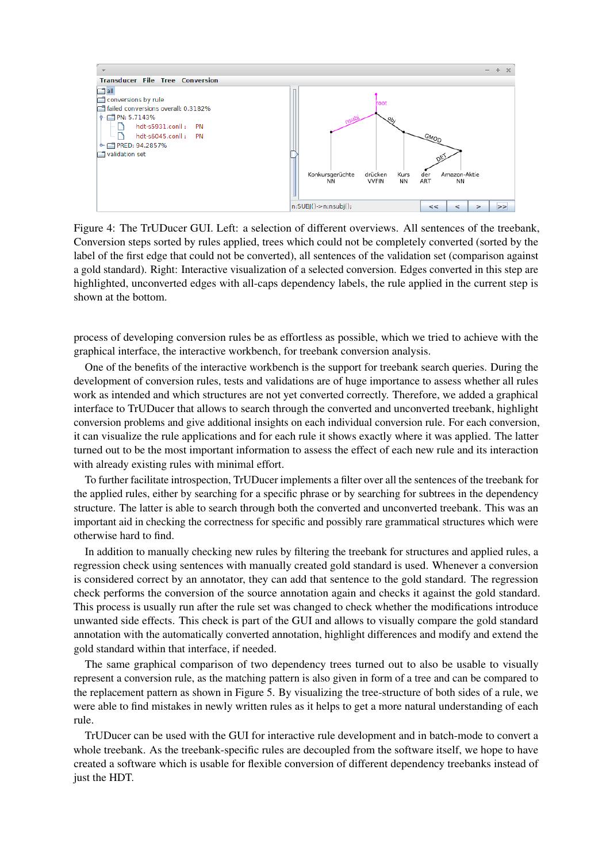

Figure 4: The TrUDucer GUI. Left: a selection of different overviews. All sentences of the treebank, Conversion steps sorted by rules applied, trees which could not be completely converted (sorted by the label of the first edge that could not be converted), all sentences of the validation set (comparison against a gold standard). Right: Interactive visualization of a selected conversion. Edges converted in this step are highlighted, unconverted edges with all-caps dependency labels, the rule applied in the current step is shown at the bottom.

process of developing conversion rules be as effortless as possible, which we tried to achieve with the graphical interface, the interactive workbench, for treebank conversion analysis.

One of the benefits of the interactive workbench is the support for treebank search queries. During the development of conversion rules, tests and validations are of huge importance to assess whether all rules work as intended and which structures are not yet converted correctly. Therefore, we added a graphical interface to TrUDucer that allows to search through the converted and unconverted treebank, highlight conversion problems and give additional insights on each individual conversion rule. For each conversion, it can visualize the rule applications and for each rule it shows exactly where it was applied. The latter turned out to be the most important information to assess the effect of each new rule and its interaction with already existing rules with minimal effort.

To further facilitate introspection, TrUDucer implements a filter over all the sentences of the treebank for the applied rules, either by searching for a specific phrase or by searching for subtrees in the dependency structure. The latter is able to search through both the converted and unconverted treebank. This was an important aid in checking the correctness for specific and possibly rare grammatical structures which were otherwise hard to find.

In addition to manually checking new rules by filtering the treebank for structures and applied rules, a regression check using sentences with manually created gold standard is used. Whenever a conversion is considered correct by an annotator, they can add that sentence to the gold standard. The regression check performs the conversion of the source annotation again and checks it against the gold standard. This process is usually run after the rule set was changed to check whether the modifications introduce unwanted side effects. This check is part of the GUI and allows to visually compare the gold standard annotation with the automatically converted annotation, highlight differences and modify and extend the gold standard within that interface, if needed.

The same graphical comparison of two dependency trees turned out to also be usable to visually represent a conversion rule, as the matching pattern is also given in form of a tree and can be compared to the replacement pattern as shown in Figure [5.](#page-9-0) By visualizing the tree-structure of both sides of a rule, we were able to find mistakes in newly written rules as it helps to get a more natural understanding of each rule.

TrUDucer can be used with the GUI for interactive rule development and in batch-mode to convert a whole treebank. As the treebank-specific rules are decoupled from the software itself, we hope to have created a software which is usable for flexible conversion of different dependency treebanks instead of just the HDT.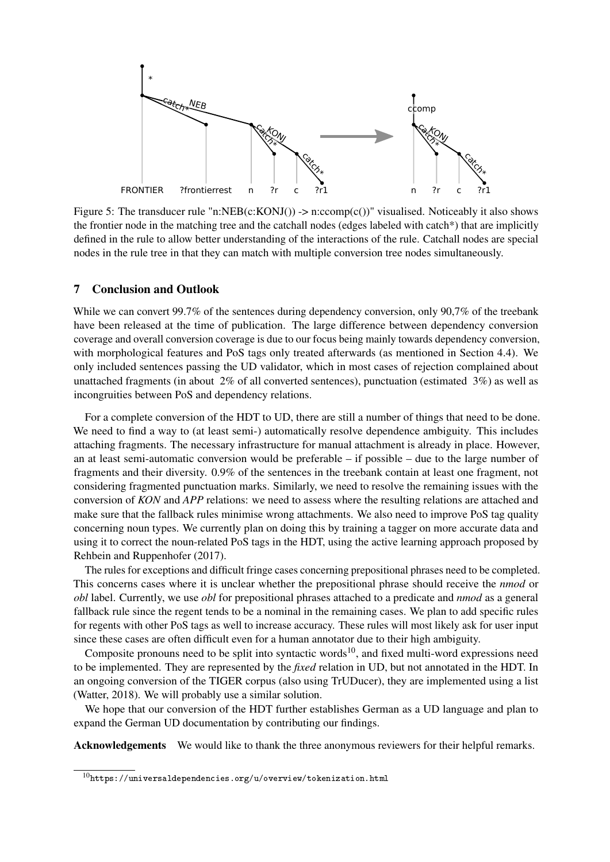<span id="page-9-0"></span>

Figure 5: The transducer rule "n:NEB(c:KONJ()) -> n:ccomp(c())" visualised. Noticeably it also shows the frontier node in the matching tree and the catchall nodes (edges labeled with catch\*) that are implicitly defined in the rule to allow better understanding of the interactions of the rule. Catchall nodes are special nodes in the rule tree in that they can match with multiple conversion tree nodes simultaneously.

### 7 Conclusion and Outlook

While we can convert 99.7% of the sentences during dependency conversion, only 90,7% of the treebank have been released at the time of publication. The large difference between dependency conversion coverage and overall conversion coverage is due to our focus being mainly towards dependency conversion, with morphological features and PoS tags only treated afterwards (as mentioned in Section [4.4\)](#page-6-0). We only included sentences passing the UD validator, which in most cases of rejection complained about unattached fragments (in about 2% of all converted sentences), punctuation (estimated 3%) as well as incongruities between PoS and dependency relations.

For a complete conversion of the HDT to UD, there are still a number of things that need to be done. We need to find a way to (at least semi-) automatically resolve dependence ambiguity. This includes attaching fragments. The necessary infrastructure for manual attachment is already in place. However, an at least semi-automatic conversion would be preferable – if possible – due to the large number of fragments and their diversity. 0.9% of the sentences in the treebank contain at least one fragment, not considering fragmented punctuation marks. Similarly, we need to resolve the remaining issues with the conversion of *KON* and *APP* relations: we need to assess where the resulting relations are attached and make sure that the fallback rules minimise wrong attachments. We also need to improve PoS tag quality concerning noun types. We currently plan on doing this by training a tagger on more accurate data and using it to correct the noun-related PoS tags in the HDT, using the active learning approach proposed by [Rehbein and Ruppenhofer \(2017\)](#page-10-14).

The rules for exceptions and difficult fringe cases concerning prepositional phrases need to be completed. This concerns cases where it is unclear whether the prepositional phrase should receive the *nmod* or *obl* label. Currently, we use *obl* for prepositional phrases attached to a predicate and *nmod* as a general fallback rule since the regent tends to be a nominal in the remaining cases. We plan to add specific rules for regents with other PoS tags as well to increase accuracy. These rules will most likely ask for user input since these cases are often difficult even for a human annotator due to their high ambiguity.

Composite pronouns need to be split into syntactic words<sup>[10](#page-9-1)</sup>, and fixed multi-word expressions need to be implemented. They are represented by the *fixed* relation in UD, but not annotated in the HDT. In an ongoing conversion of the TIGER corpus (also using TrUDucer), they are implemented using a list [\(Watter, 2018\)](#page-11-4). We will probably use a similar solution.

We hope that our conversion of the HDT further establishes German as a UD language and plan to expand the German UD documentation by contributing our findings.

Acknowledgements We would like to thank the three anonymous reviewers for their helpful remarks.

<span id="page-9-1"></span> $^{10}{\tt https://universal dependencies.org/u/overview/tokenization.html}$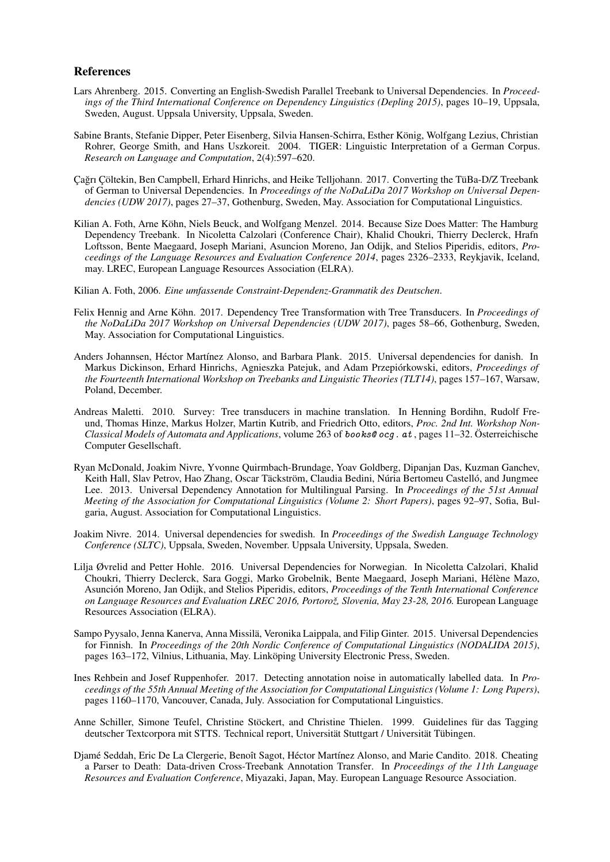#### References

- <span id="page-10-6"></span>Lars Ahrenberg. 2015. [Converting an English-Swedish Parallel Treebank to Universal Dependencies.](http://www.aclweb.org/anthology/W15-2103) In *Proceedings of the Third International Conference on Dependency Linguistics (Depling 2015)*, pages 10–19, Uppsala, Sweden, August. Uppsala University, Uppsala, Sweden.
- <span id="page-10-1"></span>Sabine Brants, Stefanie Dipper, Peter Eisenberg, Silvia Hansen-Schirra, Esther König, Wolfgang Lezius, Christian Rohrer, George Smith, and Hans Uszkoreit. 2004. [TIGER: Linguistic Interpretation of a German Corpus.](http://dx.doi.org/10.1007/s11168-004-7431-3) *Research on Language and Computation*, 2(4):597–620.
- <span id="page-10-2"></span>Çagrı Çöltekin, Ben Campbell, Erhard Hinrichs, and Heike Telljohann. 2017. [Converting the TüBa-D/Z Treebank](https://www.aclweb.org/anthology/W17-0404) ˘ [of German to Universal Dependencies.](https://www.aclweb.org/anthology/W17-0404) In *Proceedings of the NoDaLiDa 2017 Workshop on Universal Dependencies (UDW 2017)*, pages 27–37, Gothenburg, Sweden, May. Association for Computational Linguistics.
- <span id="page-10-0"></span>Kilian A. Foth, Arne Köhn, Niels Beuck, and Wolfgang Menzel. 2014. [Because Size Does Matter: The Hamburg](http://http://nats-www.informatik.uni-hamburg.de/HDT/) [Dependency Treebank.](http://http://nats-www.informatik.uni-hamburg.de/HDT/) In Nicoletta Calzolari (Conference Chair), Khalid Choukri, Thierry Declerck, Hrafn Loftsson, Bente Maegaard, Joseph Mariani, Asuncion Moreno, Jan Odijk, and Stelios Piperidis, editors, *Proceedings of the Language Resources and Evaluation Conference 2014*, pages 2326–2333, Reykjavik, Iceland, may. LREC, European Language Resources Association (ELRA).
- <span id="page-10-3"></span>Kilian A. Foth, 2006. *[Eine umfassende Constraint-Dependenz-Grammatik des Deutschen](http://nbn-resolving.de/urn:nbn:de:gbv:18-228-7-2048)*.
- <span id="page-10-11"></span>Felix Hennig and Arne Köhn. 2017. [Dependency Tree Transformation with Tree Transducers.](http://www.aclweb.org/anthology/W17-0407) In *Proceedings of the NoDaLiDa 2017 Workshop on Universal Dependencies (UDW 2017)*, pages 58–66, Gothenburg, Sweden, May. Association for Computational Linguistics.
- <span id="page-10-8"></span>Anders Johannsen, Héctor Martínez Alonso, and Barbara Plank. 2015. Universal dependencies for danish. In Markus Dickinson, Erhard Hinrichs, Agnieszka Patejuk, and Adam Przepiórkowski, editors, *Proceedings of the Fourteenth International Workshop on Treebanks and Linguistic Theories (TLT14)*, pages 157–167, Warsaw, Poland, December.
- <span id="page-10-12"></span>Andreas Maletti. 2010. Survey: Tree transducers in machine translation. In Henning Bordihn, Rudolf Freund, Thomas Hinze, Markus Holzer, Martin Kutrib, and Friedrich Otto, editors, *Proc. 2nd Int. Workshop Non-Classical Models of Automata and Applications*, volume 263 of [books@ ocg. at](books@ocg.at) , pages 11–32. Österreichische Computer Gesellschaft.
- <span id="page-10-4"></span>Ryan McDonald, Joakim Nivre, Yvonne Quirmbach-Brundage, Yoav Goldberg, Dipanjan Das, Kuzman Ganchev, Keith Hall, Slav Petrov, Hao Zhang, Oscar Täckström, Claudia Bedini, Núria Bertomeu Castelló, and Jungmee Lee. 2013. [Universal Dependency Annotation for Multilingual Parsing.](http://www.aclweb.org/anthology/P13-2017) In *Proceedings of the 51st Annual Meeting of the Association for Computational Linguistics (Volume 2: Short Papers)*, pages 92–97, Sofia, Bulgaria, August. Association for Computational Linguistics.
- <span id="page-10-5"></span>Joakim Nivre. 2014. Universal dependencies for swedish. In *Proceedings of the Swedish Language Technology Conference (SLTC)*, Uppsala, Sweden, November. Uppsala University, Uppsala, Sweden.
- <span id="page-10-9"></span>Lilja Øvrelid and Petter Hohle. 2016. [Universal Dependencies for Norwegian.](http://www.lrec-conf.org/proceedings/lrec2016/summaries/462.html) In Nicoletta Calzolari, Khalid Choukri, Thierry Declerck, Sara Goggi, Marko Grobelnik, Bente Maegaard, Joseph Mariani, Hélène Mazo, Asunción Moreno, Jan Odijk, and Stelios Piperidis, editors, *Proceedings of the Tenth International Conference on Language Resources and Evaluation LREC 2016, Portorož, Slovenia, May 23-28, 2016.* European Language Resources Association (ELRA).
- <span id="page-10-7"></span>Sampo Pyysalo, Jenna Kanerva, Anna Missilä, Veronika Laippala, and Filip Ginter. 2015. [Universal Dependencies](http://www.aclweb.org/anthology/W15-1821) [for Finnish.](http://www.aclweb.org/anthology/W15-1821) In *Proceedings of the 20th Nordic Conference of Computational Linguistics (NODALIDA 2015)*, pages 163–172, Vilnius, Lithuania, May. Linköping University Electronic Press, Sweden.
- <span id="page-10-14"></span>Ines Rehbein and Josef Ruppenhofer. 2017. [Detecting annotation noise in automatically labelled data.](https://www.aclweb.org/anthology/P17-1107) In *Proceedings of the 55th Annual Meeting of the Association for Computational Linguistics (Volume 1: Long Papers)*, pages 1160–1170, Vancouver, Canada, July. Association for Computational Linguistics.
- <span id="page-10-13"></span>Anne Schiller, Simone Teufel, Christine Stöckert, and Christine Thielen. 1999. [Guidelines für das Tagging](http://www.sfs.uni-tuebingen.de/resources/stts-1999.pdf) [deutscher Textcorpora mit STTS.](http://www.sfs.uni-tuebingen.de/resources/stts-1999.pdf) Technical report, Universität Stuttgart / Universität Tübingen.
- <span id="page-10-10"></span>Djamé Seddah, Eric De La Clergerie, Benoît Sagot, Héctor Martínez Alonso, and Marie Candito. 2018. [Cheating](http://www.aclweb.org/anthology/L18-1718) [a Parser to Death: Data-driven Cross-Treebank Annotation Transfer.](http://www.aclweb.org/anthology/L18-1718) In *Proceedings of the 11th Language Resources and Evaluation Conference*, Miyazaki, Japan, May. European Language Resource Association.